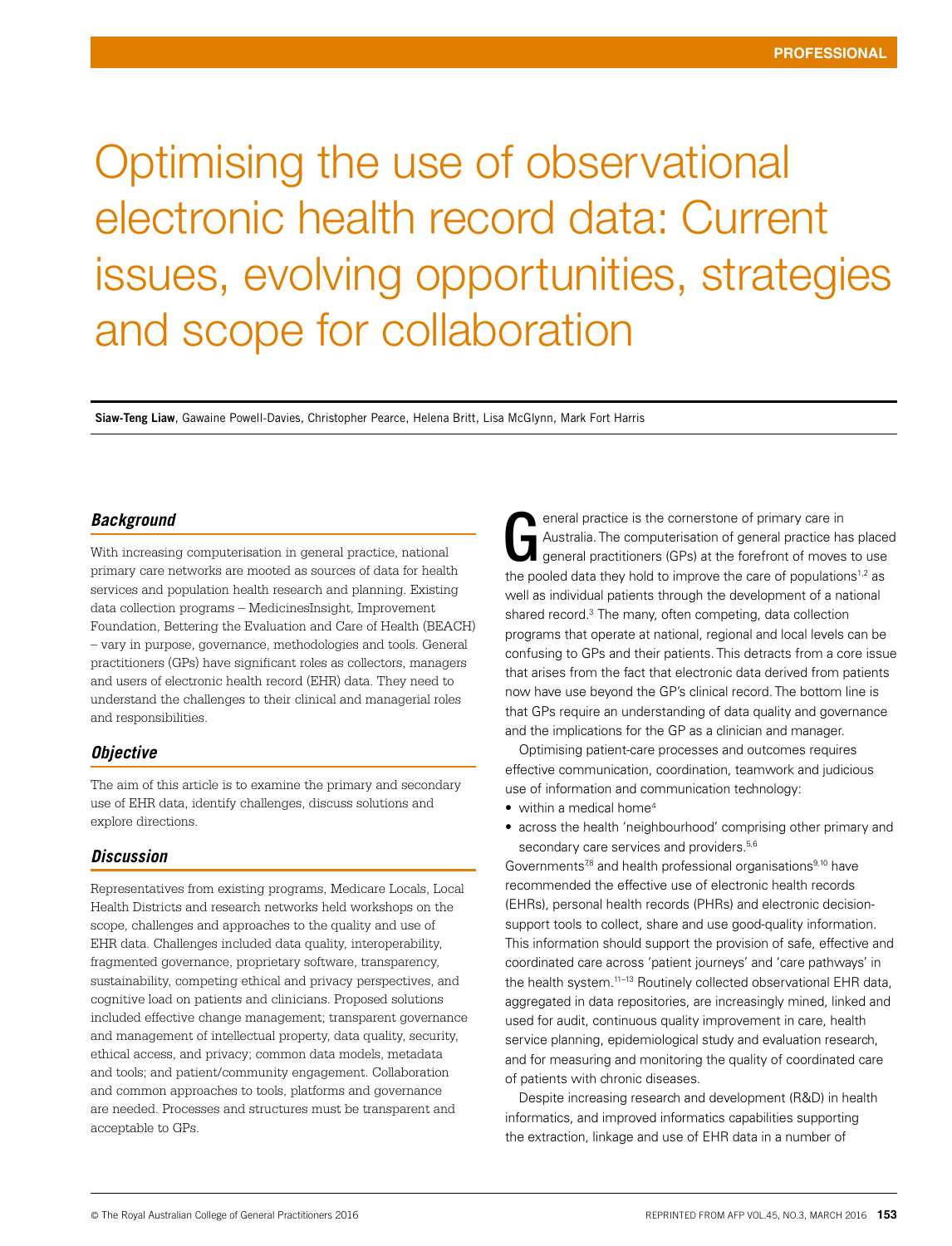# Optimising the use of observational electronic health record data: Current issues, evolving opportunities, strategies and scope for collaboration

**Siaw-Teng Liaw**, Gawaine Powell-Davies, Christopher Pearce, Helena Britt, Lisa McGlynn, Mark Fort Harris

#### *Background*

With increasing computerisation in general practice, national primary care networks are mooted as sources of data for health services and population health research and planning. Existing data collection programs – MedicinesInsight, Improvement Foundation, Bettering the Evaluation and Care of Health (BEACH) – vary in purpose, governance, methodologies and tools. General practitioners (GPs) have significant roles as collectors, managers and users of electronic health record (EHR) data. They need to understand the challenges to their clinical and managerial roles and responsibilities.

#### *Objective*

The aim of this article is to examine the primary and secondary use of EHR data, identify challenges, discuss solutions and explore directions.

#### *Discussion*

Representatives from existing programs, Medicare Locals, Local Health Districts and research networks held workshops on the scope, challenges and approaches to the quality and use of EHR data. Challenges included data quality, interoperability, fragmented governance, proprietary software, transparency, sustainability, competing ethical and privacy perspectives, and cognitive load on patients and clinicians. Proposed solutions included effective change management; transparent governance and management of intellectual property, data quality, security, ethical access, and privacy; common data models, metadata and tools; and patient/community engagement. Collaboration and common approaches to tools, platforms and governance are needed. Processes and structures must be transparent and acceptable to GPs.

eneral practice is the cornerstone of primary care in Australia. The computerisation of general practice has placed general practitioners (GPs) at the forefront of moves to use eneral practice is the cornerstone of primary care in<br>Australia. The computerisation of general practice has place<br>general practitioners (GPs) at the forefront of moves to use<br>the pooled data they hold to improve the care well as individual patients through the development of a national shared record.<sup>3</sup> The many, often competing, data collection programs that operate at national, regional and local levels can be confusing to GPs and their patients. This detracts from a core issue that arises from the fact that electronic data derived from patients now have use beyond the GP's clinical record. The bottom line is that GPs require an understanding of data quality and governance and the implications for the GP as a clinician and manager.

Optimising patient-care processes and outcomes requires effective communication, coordination, teamwork and judicious use of information and communication technology:

- within a medical home<sup>4</sup>
- across the health 'neighbourhood' comprising other primary and secondary care services and providers.<sup>5,6</sup>

Governments<sup>7,8</sup> and health professional organisations<sup>9,10</sup> have recommended the effective use of electronic health records (EHRs), personal health records (PHRs) and electronic decisionsupport tools to collect, share and use good-quality information. This information should support the provision of safe, effective and coordinated care across 'patient journeys' and 'care pathways' in the health system.<sup>11-13</sup> Routinely collected observational EHR data, aggregated in data repositories, are increasingly mined, linked and used for audit, continuous quality improvement in care, health service planning, epidemiological study and evaluation research, and for measuring and monitoring the quality of coordinated care of patients with chronic diseases.

Despite increasing research and development (R&D) in health informatics, and improved informatics capabilities supporting the extraction, linkage and use of EHR data in a number of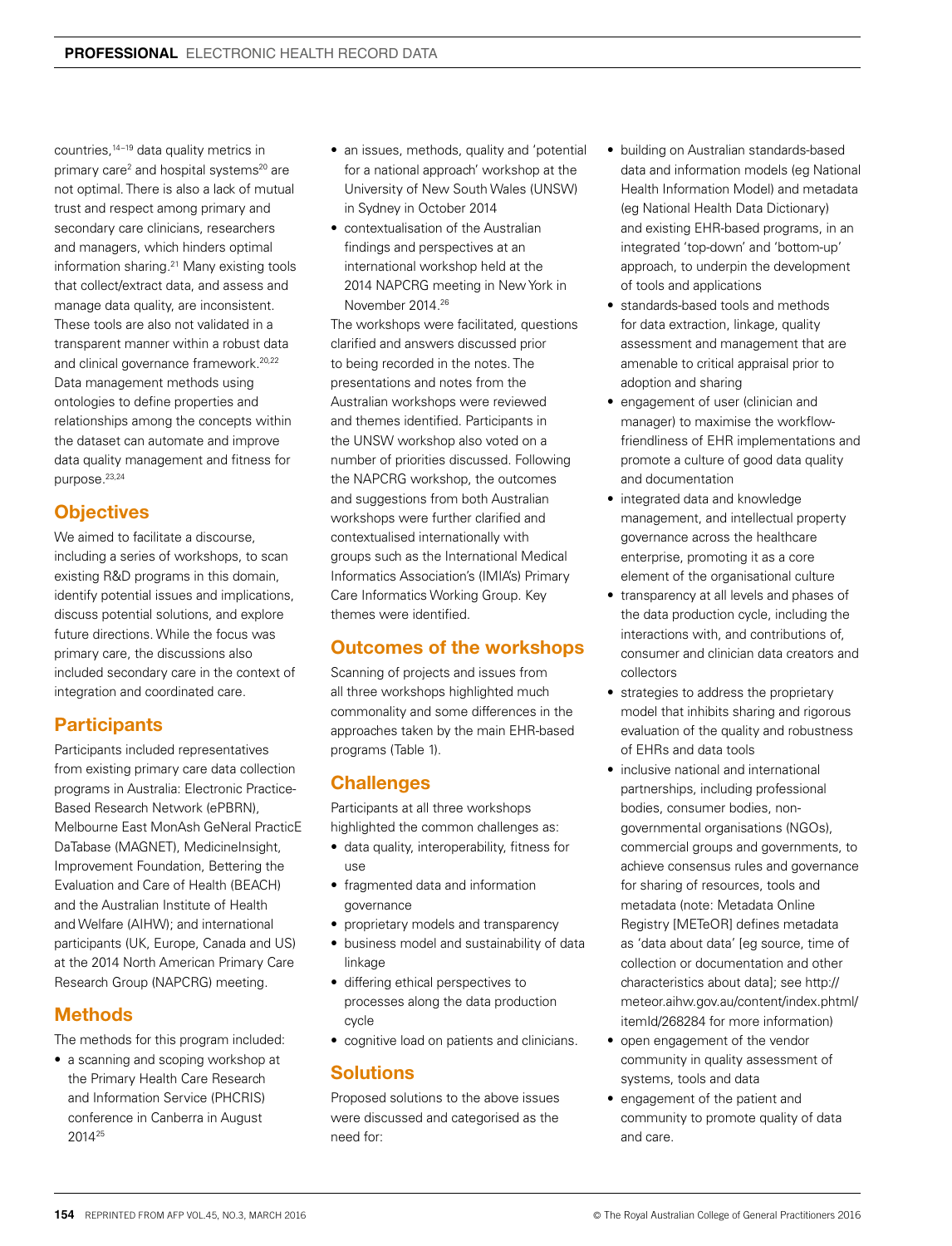countries,14–19 data quality metrics in primary care<sup>2</sup> and hospital systems<sup>20</sup> are not optimal. There is also a lack of mutual trust and respect among primary and secondary care clinicians, researchers and managers, which hinders optimal information sharing.21 Many existing tools that collect/extract data, and assess and manage data quality, are inconsistent. These tools are also not validated in a transparent manner within a robust data and clinical governance framework.20,22 Data management methods using ontologies to define properties and relationships among the concepts within the dataset can automate and improve data quality management and fitness for purpose.23,24

# **Objectives**

We aimed to facilitate a discourse. including a series of workshops, to scan existing R&D programs in this domain, identify potential issues and implications, discuss potential solutions, and explore future directions. While the focus was primary care, the discussions also included secondary care in the context of integration and coordinated care.

# **Participants**

Participants included representatives from existing primary care data collection programs in Australia: Electronic Practice-Based Research Network (ePBRN), Melbourne East MonAsh GeNeral PracticE DaTabase (MAGNET), MedicineInsight, Improvement Foundation, Bettering the Evaluation and Care of Health (BEACH) and the Australian Institute of Health and Welfare (AIHW); and international participants (UK, Europe, Canada and US) at the 2014 North American Primary Care Research Group (NAPCRG) meeting.

#### **Methods**

The methods for this program included:

• a scanning and scoping workshop at the Primary Health Care Research and Information Service (PHCRIS) conference in Canberra in August 201425

- an issues, methods, quality and 'potential for a national approach' workshop at the University of New South Wales (UNSW) in Sydney in October 2014
- contextualisation of the Australian findings and perspectives at an international workshop held at the 2014 NAPCRG meeting in New York in November 2014.26

The workshops were facilitated, questions clarified and answers discussed prior to being recorded in the notes. The presentations and notes from the Australian workshops were reviewed and themes identified. Participants in the UNSW workshop also voted on a number of priorities discussed. Following the NAPCRG workshop, the outcomes and suggestions from both Australian workshops were further clarified and contextualised internationally with groups such as the International Medical Informatics Association's (IMIA's) Primary Care Informatics Working Group. Key themes were identified.

#### Outcomes of the workshops

Scanning of projects and issues from all three workshops highlighted much commonality and some differences in the approaches taken by the main EHR-based programs (Table 1).

# **Challenges**

Participants at all three workshops highlighted the common challenges as:

- data quality, interoperability, fitness for use
- fragmented data and information governance
- proprietary models and transparency
- business model and sustainability of data linkage
- differing ethical perspectives to processes along the data production cycle
- cognitive load on patients and clinicians.

# **Solutions**

Proposed solutions to the above issues were discussed and categorised as the need for:

- building on Australian standards-based data and information models (eg National Health Information Model) and metadata (eg National Health Data Dictionary) and existing EHR-based programs, in an integrated 'top-down' and 'bottom-up' approach, to underpin the development of tools and applications
- standards-based tools and methods for data extraction, linkage, quality assessment and management that are amenable to critical appraisal prior to adoption and sharing
- engagement of user (clinician and manager) to maximise the workflowfriendliness of EHR implementations and promote a culture of good data quality and documentation
- integrated data and knowledge management, and intellectual property governance across the healthcare enterprise, promoting it as a core element of the organisational culture
- transparency at all levels and phases of the data production cycle, including the interactions with, and contributions of, consumer and clinician data creators and collectors
- strategies to address the proprietary model that inhibits sharing and rigorous evaluation of the quality and robustness of EHRs and data tools
- inclusive national and international partnerships, including professional bodies, consumer bodies, nongovernmental organisations (NGOs), commercial groups and governments, to achieve consensus rules and governance for sharing of resources, tools and metadata (note: Metadata Online Registry [METeOR] defines metadata as 'data about data' [eg source, time of collection or documentation and other characteristics about data]; see http:// meteor.aihw.gov.au/content/index.phtml/ itemId/268284 for more information)
- open engagement of the vendor community in quality assessment of systems, tools and data
- engagement of the patient and community to promote quality of data and care.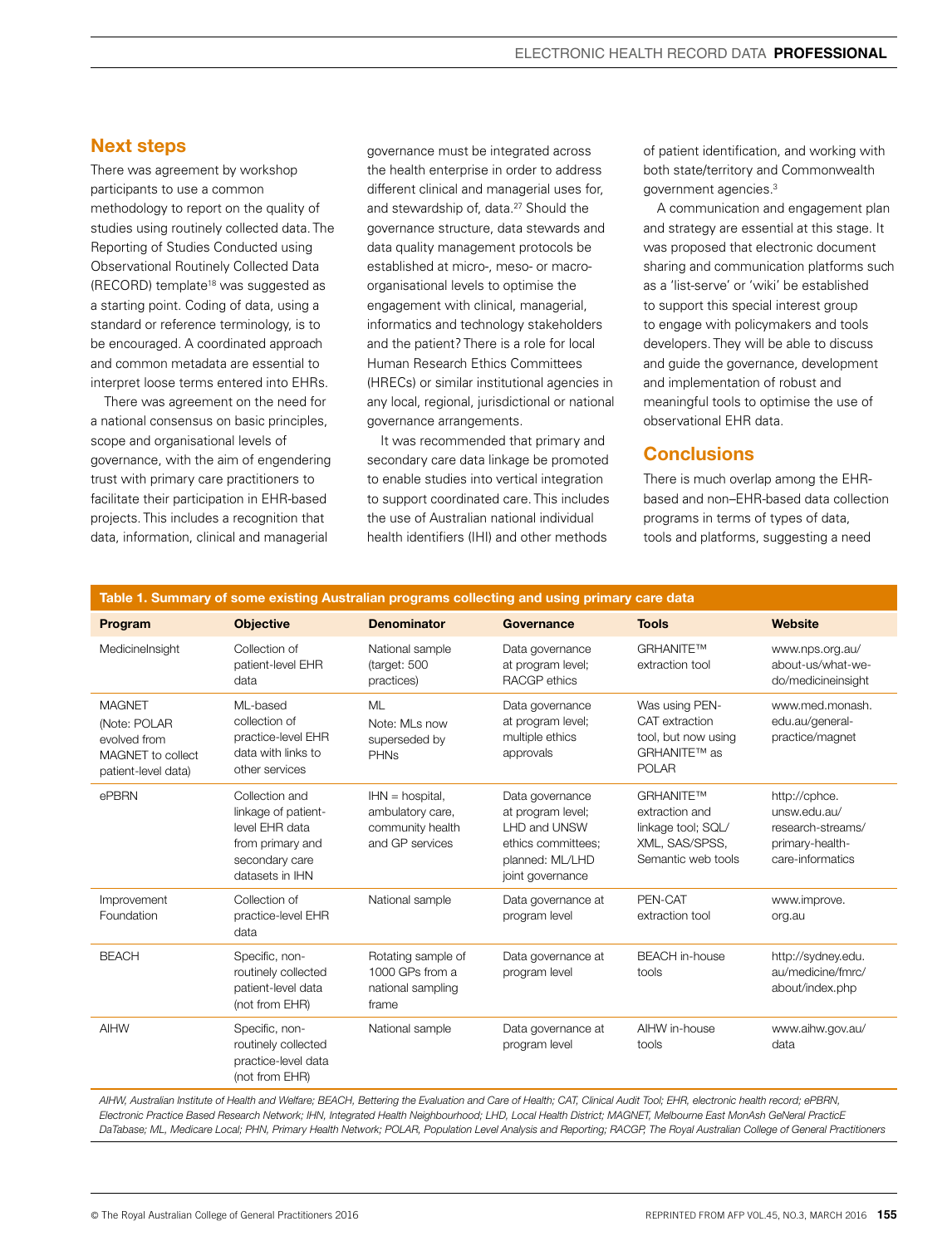### Next steps

There was agreement by workshop participants to use a common methodology to report on the quality of studies using routinely collected data. The Reporting of Studies Conducted using Observational Routinely Collected Data (RECORD) template<sup>18</sup> was suggested as a starting point. Coding of data, using a standard or reference terminology, is to be encouraged. A coordinated approach and common metadata are essential to interpret loose terms entered into EHRs.

There was agreement on the need for a national consensus on basic principles, scope and organisational levels of governance, with the aim of engendering trust with primary care practitioners to facilitate their participation in EHR-based projects. This includes a recognition that data, information, clinical and managerial

governance must be integrated across the health enterprise in order to address different clinical and managerial uses for, and stewardship of, data.<sup>27</sup> Should the governance structure, data stewards and data quality management protocols be established at micro-, meso- or macroorganisational levels to optimise the engagement with clinical, managerial, informatics and technology stakeholders and the patient? There is a role for local Human Research Ethics Committees (HRECs) or similar institutional agencies in any local, regional, jurisdictional or national governance arrangements.

It was recommended that primary and secondary care data linkage be promoted to enable studies into vertical integration to support coordinated care. This includes the use of Australian national individual health identifiers (IHI) and other methods

of patient identification, and working with both state/territory and Commonwealth government agencies.3

A communication and engagement plan and strategy are essential at this stage. It was proposed that electronic document sharing and communication platforms such as a 'list-serve' or 'wiki' be established to support this special interest group to engage with policymakers and tools developers. They will be able to discuss and guide the governance, development and implementation of robust and meaningful tools to optimise the use of observational EHR data.

# **Conclusions**

There is much overlap among the EHRbased and non–EHR-based data collection programs in terms of types of data, tools and platforms, suggesting a need

| Table 1. Summary of some existing Australian programs collecting and using primary care data |                                                                                                                  |                                                                              |                                                                                                                   |                                                                                           |                                                                                           |
|----------------------------------------------------------------------------------------------|------------------------------------------------------------------------------------------------------------------|------------------------------------------------------------------------------|-------------------------------------------------------------------------------------------------------------------|-------------------------------------------------------------------------------------------|-------------------------------------------------------------------------------------------|
| Program                                                                                      | <b>Objective</b>                                                                                                 | <b>Denominator</b>                                                           | Governance                                                                                                        | <b>Tools</b>                                                                              | <b>Website</b>                                                                            |
| Medicinelnsight                                                                              | Collection of<br>patient-level EHR<br>data                                                                       | National sample<br>(target: 500<br>practices)                                | Data governance<br>at program level;<br>RACGP ethics                                                              | <b>GRHANITETM</b><br>extraction tool                                                      | www.nps.org.au/<br>about-us/what-we-<br>do/medicineinsight                                |
| <b>MAGNET</b><br>(Note: POLAR<br>evolved from<br>MAGNET to collect<br>patient-level data)    | ML-based<br>collection of<br>practice-level EHR<br>data with links to<br>other services                          | <b>ML</b><br>Note: MLs now<br>superseded by<br><b>PHNs</b>                   | Data governance<br>at program level;<br>multiple ethics<br>approvals                                              | Was using PEN-<br>CAT extraction<br>tool, but now using<br>GRHANITE™ as<br><b>POLAR</b>   | www.med.monash.<br>edu.au/general-<br>practice/magnet                                     |
| ePBRN                                                                                        | Collection and<br>linkage of patient-<br>level EHR data<br>from primary and<br>secondary care<br>datasets in IHN | $HM = hospital$ ,<br>ambulatory care,<br>community health<br>and GP services | Data governance<br>at program level;<br>LHD and UNSW<br>ethics committees;<br>planned: ML/LHD<br>joint governance | GRHANITE™<br>extraction and<br>linkage tool; SQL/<br>XML, SAS/SPSS,<br>Semantic web tools | http://cphce.<br>unsw.edu.au/<br>research-streams/<br>primary-health-<br>care-informatics |
| Improvement<br>Foundation                                                                    | Collection of<br>practice-level EHR<br>data                                                                      | National sample                                                              | Data governance at<br>program level                                                                               | PEN-CAT<br>extraction tool                                                                | www.improve.<br>org.au                                                                    |
| <b>BEACH</b>                                                                                 | Specific, non-<br>routinely collected<br>patient-level data<br>(not from EHR)                                    | Rotating sample of<br>1000 GPs from a<br>national sampling<br>frame          | Data governance at<br>program level                                                                               | <b>BEACH</b> in-house<br>tools                                                            | http://sydney.edu.<br>au/medicine/fmrc/<br>about/index.php                                |
| <b>AIHW</b>                                                                                  | Specific, non-<br>routinely collected<br>practice-level data<br>(not from EHR)                                   | National sample                                                              | Data governance at<br>program level                                                                               | AIHW in-house<br>tools                                                                    | www.aihw.gov.au/<br>data                                                                  |
|                                                                                              |                                                                                                                  |                                                                              |                                                                                                                   |                                                                                           |                                                                                           |

*AIHW, Australian Institute of Health and Welfare; BEACH, Bettering the Evaluation and Care of Health; CAT, Clinical Audit Tool; EHR, electronic health record; ePBRN, Electronic Practice Based Research Network; IHN, Integrated Health Neighbourhood; LHD, Local Health District; MAGNET, Melbourne East MonAsh GeNeral PracticE DaTabase; ML, Medicare Local; PHN, Primary Health Network; POLAR, Population Level Analysis and Reporting; RACGP, The Royal Australian College of General Practitioners*